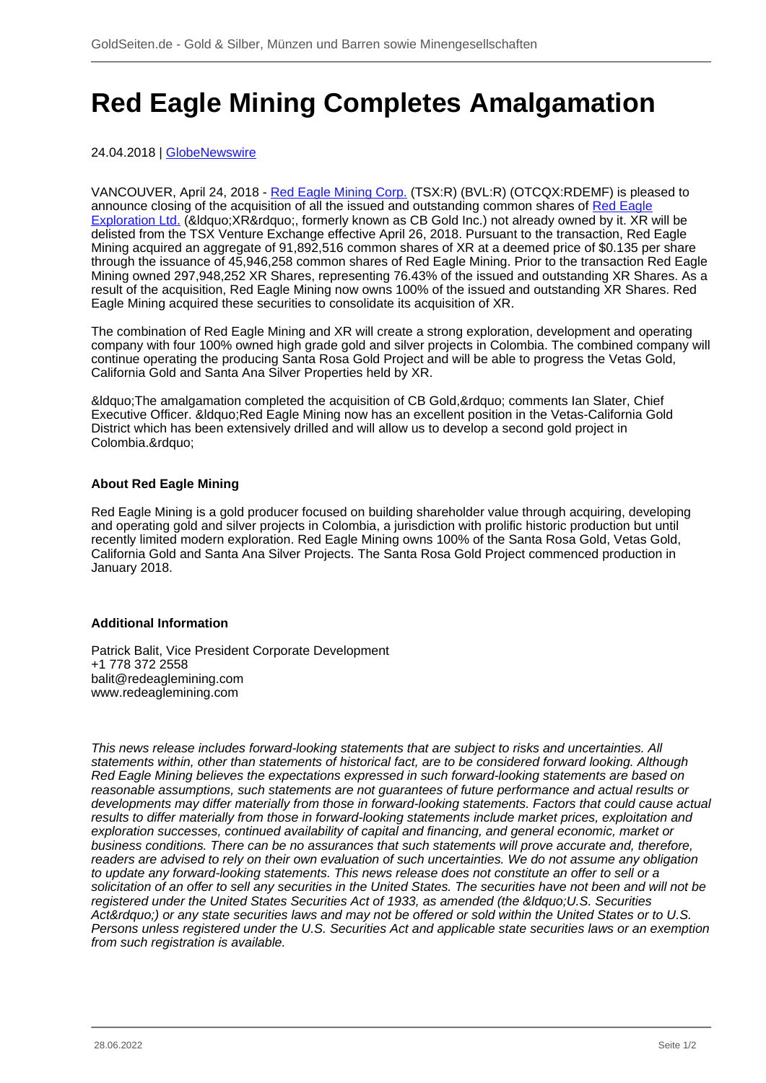## **Red Eagle Mining Completes Amalgamation**

## 24.04.2018 | [GlobeNewswire](/profil/261--GlobeNewswire)

VANCOUVER, April 24, 2018 - [Red Eagle Mining Corp.](/minen/1910--Red-Eagle-Mining-Corp) (TSX:R) (BVL:R) (OTCQX:RDEMF) is pleased to announce closing of the acquisition of all the issued and outstanding common shares of [Red Eagle](/minen/1900--Red-Eagle-Exploration-Ltd) [Exploration Ltd.](/minen/1900--Red-Eagle-Exploration-Ltd) (&Idquo:XR&rdquo:, formerly known as CB Gold Inc.) not already owned by it. XR will be delisted from the TSX Venture Exchange effective April 26, 2018. Pursuant to the transaction, Red Eagle Mining acquired an aggregate of 91,892,516 common shares of XR at a deemed price of \$0.135 per share through the issuance of 45,946,258 common shares of Red Eagle Mining. Prior to the transaction Red Eagle Mining owned 297,948,252 XR Shares, representing 76.43% of the issued and outstanding XR Shares. As a result of the acquisition, Red Eagle Mining now owns 100% of the issued and outstanding XR Shares. Red Eagle Mining acquired these securities to consolidate its acquisition of XR.

The combination of Red Eagle Mining and XR will create a strong exploration, development and operating company with four 100% owned high grade gold and silver projects in Colombia. The combined company will continue operating the producing Santa Rosa Gold Project and will be able to progress the Vetas Gold, California Gold and Santa Ana Silver Properties held by XR.

 $\&$  dauo: The amalgamation completed the acquisition of CB Gold. & rdguo: comments Ian Slater, Chief Executive Officer. &Idquo; Red Eagle Mining now has an excellent position in the Vetas-California Gold District which has been extensively drilled and will allow us to develop a second gold project in Colombia."

## **About Red Eagle Mining**

Red Eagle Mining is a gold producer focused on building shareholder value through acquiring, developing and operating gold and silver projects in Colombia, a jurisdiction with prolific historic production but until recently limited modern exploration. Red Eagle Mining owns 100% of the Santa Rosa Gold, Vetas Gold, California Gold and Santa Ana Silver Projects. The Santa Rosa Gold Project commenced production in January 2018.

## **Additional Information**

Patrick Balit, Vice President Corporate Development +1 778 372 2558 balit@redeaglemining.com www.redeaglemining.com

This news release includes forward-looking statements that are subject to risks and uncertainties. All statements within, other than statements of historical fact, are to be considered forward looking. Although Red Eagle Mining believes the expectations expressed in such forward-looking statements are based on reasonable assumptions, such statements are not guarantees of future performance and actual results or developments may differ materially from those in forward-looking statements. Factors that could cause actual results to differ materially from those in forward-looking statements include market prices, exploitation and exploration successes, continued availability of capital and financing, and general economic, market or business conditions. There can be no assurances that such statements will prove accurate and, therefore, readers are advised to rely on their own evaluation of such uncertainties. We do not assume any obligation to update any forward-looking statements. This news release does not constitute an offer to sell or a solicitation of an offer to sell any securities in the United States. The securities have not been and will not be registered under the United States Securities Act of 1933, as amended (the &Idquo; U.S. Securities Act") or any state securities laws and may not be offered or sold within the United States or to U.S. Persons unless registered under the U.S. Securities Act and applicable state securities laws or an exemption from such registration is available.